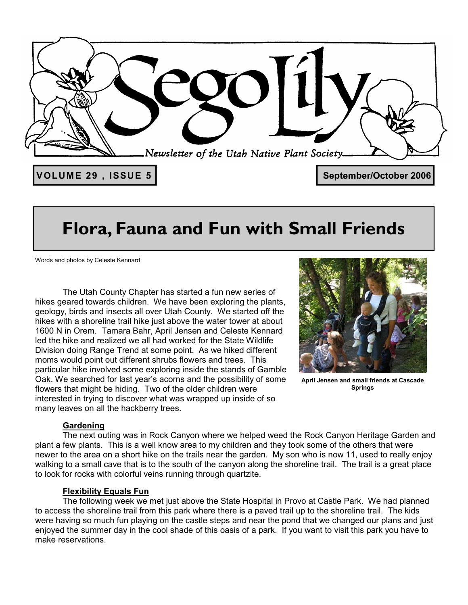

## **Flora, Fauna and Fun with Small Friends**

Words and photos by Celeste Kennard

 The Utah County Chapter has started a fun new series of hikes geared towards children. We have been exploring the plants, geology, birds and insects all over Utah County. We started off the hikes with a shoreline trail hike just above the water tower at about 1600 N in Orem. Tamara Bahr, April Jensen and Celeste Kennard led the hike and realized we all had worked for the State Wildlife Division doing Range Trend at some point. As we hiked different moms would point out different shrubs flowers and trees. This particular hike involved some exploring inside the stands of Gamble Oak. We searched for last year's acorns and the possibility of some flowers that might be hiding. Two of the older children were interested in trying to discover what was wrapped up inside of so many leaves on all the hackberry trees.



**April Jensen and small friends at Cascade Springs** 

### **Gardening**

 The next outing was in Rock Canyon where we helped weed the Rock Canyon Heritage Garden and plant a few plants. This is a well know area to my children and they took some of the others that were newer to the area on a short hike on the trails near the garden. My son who is now 11, used to really enjoy walking to a small cave that is to the south of the canyon along the shoreline trail. The trail is a great place to look for rocks with colorful veins running through quartzite.

### **Flexibility Equals Fun**

 The following week we met just above the State Hospital in Provo at Castle Park. We had planned to access the shoreline trail from this park where there is a paved trail up to the shoreline trail. The kids were having so much fun playing on the castle steps and near the pond that we changed our plans and just enjoyed the summer day in the cool shade of this oasis of a park. If you want to visit this park you have to make reservations.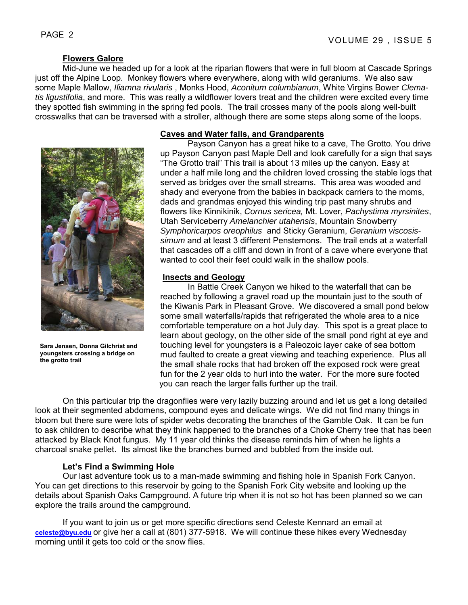### **Flowers Galore**

 Mid-June we headed up for a look at the riparian flowers that were in full bloom at Cascade Springs just off the Alpine Loop. Monkey flowers where everywhere, along with wild geraniums. We also saw some Maple Mallow, *Iliamna rivularis* , Monks Hood, *Aconitum columbianum*, White Virgins Bower *Clematis ligustifolia*, and more. This was really a wildflower lovers treat and the children were excited every time they spotted fish swimming in the spring fed pools. The trail crosses many of the pools along well-built crosswalks that can be traversed with a stroller, although there are some steps along some of the loops.



**Sara Jensen, Donna Gilchrist and youngsters crossing a bridge on the grotto trail** 

### **Caves and Water falls, and Grandparents**

 Payson Canyon has a great hike to a cave, The Grotto. You drive up Payson Canyon past Maple Dell and look carefully for a sign that says "The Grotto trail" This trail is about 13 miles up the canyon. Easy at under a half mile long and the children loved crossing the stable logs that served as bridges over the small streams. This area was wooded and shady and everyone from the babies in backpack carriers to the moms, dads and grandmas enjoyed this winding trip past many shrubs and flowers like Kinnikinik, *Cornus sericea,* Mt. Lover, *Pachystima myrsinites*, Utah Serviceberry *Amelanchier utahensis*, Mountain Snowberry *Symphoricarpos oreophilus* and Sticky Geranium, *Geranium viscosissimum* and at least 3 different Penstemons. The trail ends at a waterfall that cascades off a cliff and down in front of a cave where everyone that wanted to cool their feet could walk in the shallow pools.

### **Insects and Geology**

 In Battle Creek Canyon we hiked to the waterfall that can be reached by following a gravel road up the mountain just to the south of the Kiwanis Park in Pleasant Grove. We discovered a small pond below some small waterfalls/rapids that refrigerated the whole area to a nice comfortable temperature on a hot July day. This spot is a great place to learn about geology, on the other side of the small pond right at eye and touching level for youngsters is a Paleozoic layer cake of sea bottom mud faulted to create a great viewing and teaching experience. Plus all the small shale rocks that had broken off the exposed rock were great fun for the 2 year olds to hurl into the water. For the more sure footed you can reach the larger falls further up the trail.

On this particular trip the dragonflies were very lazily buzzing around and let us get a long detailed look at their segmented abdomens, compound eyes and delicate wings. We did not find many things in bloom but there sure were lots of spider webs decorating the branches of the Gamble Oak. It can be fun to ask children to describe what they think happened to the branches of a Choke Cherry tree that has been attacked by Black Knot fungus. My 11 year old thinks the disease reminds him of when he lights a charcoal snake pellet. Its almost like the branches burned and bubbled from the inside out.

### **Let's Find a Swimming Hole**

 Our last adventure took us to a man-made swimming and fishing hole in Spanish Fork Canyon. You can get directions to this reservoir by going to the Spanish Fork City website and looking up the details about Spanish Oaks Campground. A future trip when it is not so hot has been planned so we can explore the trails around the campground.

If you want to join us or get more specific directions send Celeste Kennard an email at **celeste@byu.edu** or give her a call at (801) 377-5918. We will continue these hikes every Wednesday morning until it gets too cold or the snow flies.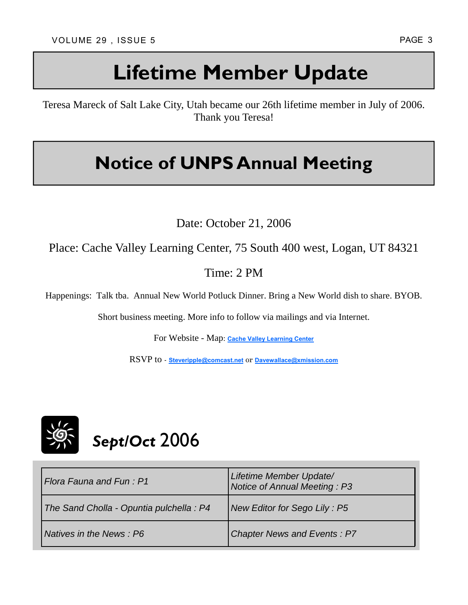# **Lifetime Member Update**

Teresa Mareck of Salt Lake City, Utah became our 26th lifetime member in July of 2006. Thank you Teresa!

## **Notice of UNPS Annual Meeting**

Date: October 21, 2006

Place: Cache Valley Learning Center, 75 South 400 west, Logan, UT 84321

Time: 2 PM

Happenings: Talk tba. Annual New World Potluck Dinner. Bring a New World dish to share. BYOB.

Short business meeting. More info to follow via mailings and via Internet.

For Website - Map: **Cache Valley Learning Center**

RSVP to - **Steveripple@comcast.net** or **Davewallace@xmission.com**



| l Flora Fauna and Fun : P1               | Lifetime Member Update/<br>Notice of Annual Meeting: P3 |
|------------------------------------------|---------------------------------------------------------|
| The Sand Cholla - Opuntia pulchella : P4 | New Editor for Sego Lily: P5                            |
| Natives in the News : P6                 | <b>Chapter News and Events: P7</b>                      |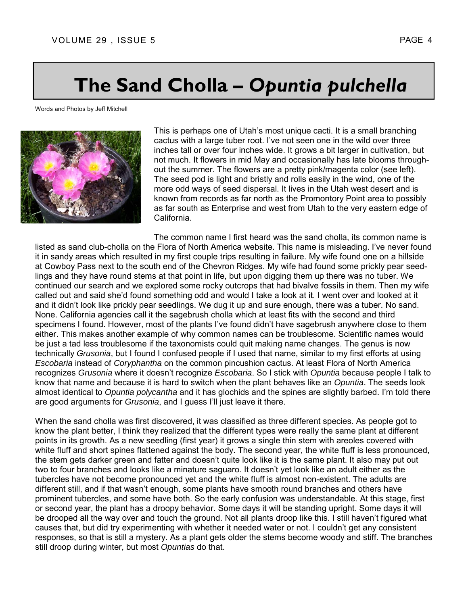## **The Sand Cholla –** *Opuntia pulchella*

Words and Photos by Jeff Mitchell



This is perhaps one of Utah's most unique cacti. It is a small branching cactus with a large tuber root. I've not seen one in the wild over three inches tall or over four inches wide. It grows a bit larger in cultivation, but not much. It flowers in mid May and occasionally has late blooms throughout the summer. The flowers are a pretty pink/magenta color (see left). The seed pod is light and bristly and rolls easily in the wind, one of the more odd ways of seed dispersal. It lives in the Utah west desert and is known from records as far north as the Promontory Point area to possibly as far south as Enterprise and west from Utah to the very eastern edge of California.

The common name I first heard was the sand cholla, its common name is listed as sand club-cholla on the Flora of North America website. This name is misleading. I've never found it in sandy areas which resulted in my first couple trips resulting in failure. My wife found one on a hillside at Cowboy Pass next to the south end of the Chevron Ridges. My wife had found some prickly pear seedlings and they have round stems at that point in life, but upon digging them up there was no tuber. We continued our search and we explored some rocky outcrops that had bivalve fossils in them. Then my wife called out and said she'd found something odd and would I take a look at it. I went over and looked at it and it didn't look like prickly pear seedlings. We dug it up and sure enough, there was a tuber. No sand. None. California agencies call it the sagebrush cholla which at least fits with the second and third specimens I found. However, most of the plants I've found didn't have sagebrush anywhere close to them either. This makes another example of why common names can be troublesome. Scientific names would be just a tad less troublesome if the taxonomists could quit making name changes. The genus is now technically *Grusonia*, but I found I confused people if I used that name, similar to my first efforts at using *Escobaria* instead of *Coryphantha* on the common pincushion cactus. At least Flora of North America recognizes *Grusonia* where it doesn't recognize *Escobaria*. So I stick with *Opuntia* because people I talk to know that name and because it is hard to switch when the plant behaves like an *Opuntia*. The seeds look almost identical to *Opuntia polycantha* and it has glochids and the spines are slightly barbed. I'm told there are good arguments for *Grusonia*, and I guess I'll just leave it there.

When the sand cholla was first discovered, it was classified as three different species. As people got to know the plant better, I think they realized that the different types were really the same plant at different points in its growth. As a new seedling (first year) it grows a single thin stem with areoles covered with white fluff and short spines flattened against the body. The second year, the white fluff is less pronounced, the stem gets darker green and fatter and doesn't quite look like it is the same plant. It also may put out two to four branches and looks like a minature saguaro. It doesn't yet look like an adult either as the tubercles have not become pronounced yet and the white fluff is almost non-existent. The adults are different still, and if that wasn't enough, some plants have smooth round branches and others have prominent tubercles, and some have both. So the early confusion was understandable. At this stage, first or second year, the plant has a droopy behavior. Some days it will be standing upright. Some days it will be drooped all the way over and touch the ground. Not all plants droop like this. I still haven't figured what causes that, but did try experimenting with whether it needed water or not. I couldn't get any consistent responses, so that is still a mystery. As a plant gets older the stems become woody and stiff. The branches still droop during winter, but most *Opuntias* do that.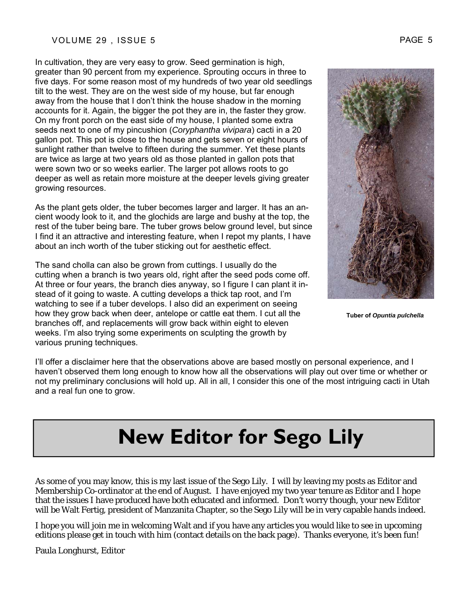In cultivation, they are very easy to grow. Seed germination is high, greater than 90 percent from my experience. Sprouting occurs in three to five days. For some reason most of my hundreds of two year old seedlings tilt to the west. They are on the west side of my house, but far enough away from the house that I don't think the house shadow in the morning accounts for it. Again, the bigger the pot they are in, the faster they grow. On my front porch on the east side of my house, I planted some extra seeds next to one of my pincushion (*Coryphantha vivipara*) cacti in a 20 gallon pot. This pot is close to the house and gets seven or eight hours of sunlight rather than twelve to fifteen during the summer. Yet these plants are twice as large at two years old as those planted in gallon pots that were sown two or so weeks earlier. The larger pot allows roots to go deeper as well as retain more moisture at the deeper levels giving greater growing resources.

As the plant gets older, the tuber becomes larger and larger. It has an ancient woody look to it, and the glochids are large and bushy at the top, the rest of the tuber being bare. The tuber grows below ground level, but since I find it an attractive and interesting feature, when I repot my plants, I have about an inch worth of the tuber sticking out for aesthetic effect.

The sand cholla can also be grown from cuttings. I usually do the cutting when a branch is two years old, right after the seed pods come off. At three or four years, the branch dies anyway, so I figure I can plant it instead of it going to waste. A cutting develops a thick tap root, and I'm watching to see if a tuber develops. I also did an experiment on seeing how they grow back when deer, antelope or cattle eat them. I cut all the branches off, and replacements will grow back within eight to eleven weeks. I'm also trying some experiments on sculpting the growth by various pruning techniques.



**Tuber of** *Opuntia pulchella* 

I'll offer a disclaimer here that the observations above are based mostly on personal experience, and I haven't observed them long enough to know how all the observations will play out over time or whether or not my preliminary conclusions will hold up. All in all, I consider this one of the most intriguing cacti in Utah and a real fun one to grow.

# **New Editor for Sego Lily**

As some of you may know, this is my last issue of the Sego Lily. I will by leaving my posts as Editor and Membership Co-ordinator at the end of August. I have enjoyed my two year tenure as Editor and I hope that the issues I have produced have both educated and informed. Don't worry though, your new Editor will be Walt Fertig, president of Manzanita Chapter, so the Sego Lily will be in very capable hands indeed.

I hope you will join me in welcoming Walt and if you have any articles you would like to see in upcoming editions please get in touch with him (contact details on the back page). Thanks everyone, it's been fun!

Paula Longhurst, Editor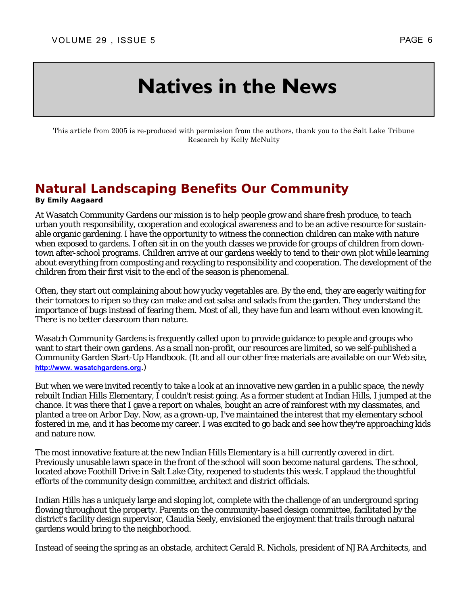## **Natives in the News**

This article from 2005 is re-produced with permission from the authors, thank you to the Salt Lake Tribune Research by Kelly McNulty

## **Natural Landscaping Benefits Our Community**

#### **By Emily Aagaard**

At Wasatch Community Gardens our mission is to help people grow and share fresh produce, to teach urban youth responsibility, cooperation and ecological awareness and to be an active resource for sustainable organic gardening. I have the opportunity to witness the connection children can make with nature when exposed to gardens. I often sit in on the youth classes we provide for groups of children from downtown after-school programs. Children arrive at our gardens weekly to tend to their own plot while learning about everything from composting and recycling to responsibility and cooperation. The development of the children from their first visit to the end of the season is phenomenal.

Often, they start out complaining about how yucky vegetables are. By the end, they are eagerly waiting for their tomatoes to ripen so they can make and eat salsa and salads from the garden. They understand the importance of bugs instead of fearing them. Most of all, they have fun and learn without even knowing it. There is no better classroom than nature.

Wasatch Community Gardens is frequently called upon to provide guidance to people and groups who want to start their own gardens. As a small non-profit, our resources are limited, so we self-published a Community Garden Start-Up Handbook. (It and all our other free materials are available on our Web site, **http://www. wasatchgardens.org**.)

But when we were invited recently to take a look at an innovative new garden in a public space, the newly rebuilt Indian Hills Elementary, I couldn't resist going. As a former student at Indian Hills, I jumped at the chance. It was there that I gave a report on whales, bought an acre of rainforest with my classmates, and planted a tree on Arbor Day. Now, as a grown-up, I've maintained the interest that my elementary school fostered in me, and it has become my career. I was excited to go back and see how they're approaching kids and nature now.

The most innovative feature at the new Indian Hills Elementary is a hill currently covered in dirt. Previously unusable lawn space in the front of the school will soon become natural gardens. The school, located above Foothill Drive in Salt Lake City, reopened to students this week. I applaud the thoughtful efforts of the community design committee, architect and district officials.

Indian Hills has a uniquely large and sloping lot, complete with the challenge of an underground spring flowing throughout the property. Parents on the community-based design committee, facilitated by the district's facility design supervisor, Claudia Seely, envisioned the enjoyment that trails through natural gardens would bring to the neighborhood.

Instead of seeing the spring as an obstacle, architect Gerald R. Nichols, president of NJRA Architects, and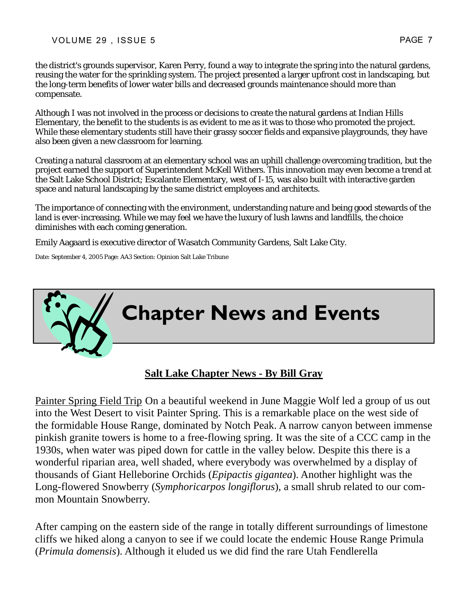the district's grounds supervisor, Karen Perry, found a way to integrate the spring into the natural gardens, reusing the water for the sprinkling system. The project presented a larger upfront cost in landscaping, but the long-term benefits of lower water bills and decreased grounds maintenance should more than compensate.

Although I was not involved in the process or decisions to create the natural gardens at Indian Hills Elementary, the benefit to the students is as evident to me as it was to those who promoted the project. While these elementary students still have their grassy soccer fields and expansive playgrounds, they have also been given a new classroom for learning.

Creating a natural classroom at an elementary school was an uphill challenge overcoming tradition, but the project earned the support of Superintendent McKell Withers. This innovation may even become a trend at the Salt Lake School District; Escalante Elementary, west of I-15, was also built with interactive garden space and natural landscaping by the same district employees and architects.

The importance of connecting with the environment, understanding nature and being good stewards of the land is ever-increasing. While we may feel we have the luxury of lush lawns and landfills, the choice diminishes with each coming generation.

Emily Aagaard is executive director of Wasatch Community Gardens, Salt Lake City.

Date: September 4, 2005 Page: AA3 Section: Opinion Salt Lake Tribune



## **Salt Lake Chapter News - By Bill Gray**

Painter Spring Field Trip On a beautiful weekend in June Maggie Wolf led a group of us out into the West Desert to visit Painter Spring. This is a remarkable place on the west side of the formidable House Range, dominated by Notch Peak. A narrow canyon between immense pinkish granite towers is home to a free-flowing spring. It was the site of a CCC camp in the 1930s, when water was piped down for cattle in the valley below. Despite this there is a wonderful riparian area, well shaded, where everybody was overwhelmed by a display of thousands of Giant Helleborine Orchids (*Epipactis gigantea*). Another highlight was the Long-flowered Snowberry (*Symphoricarpos longiflorus*), a small shrub related to our common Mountain Snowberry.

After camping on the eastern side of the range in totally different surroundings of limestone cliffs we hiked along a canyon to see if we could locate the endemic House Range Primula (*Primula domensis*). Although it eluded us we did find the rare Utah Fendlerella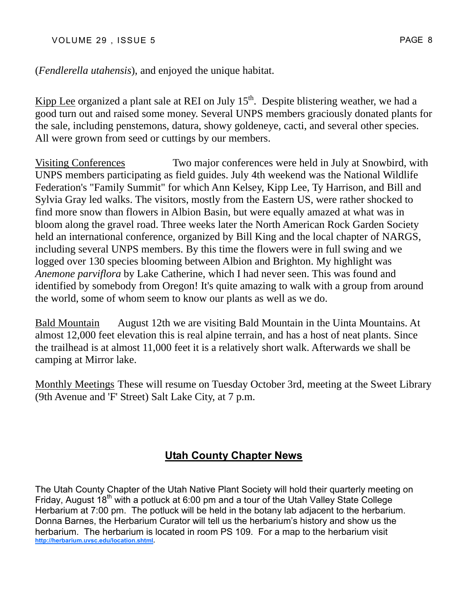VOLUME 29, ISSUE 5 PAGE 8

(*Fendlerella utahensis*), and enjoyed the unique habitat.

Kipp Lee organized a plant sale at REI on July  $15<sup>th</sup>$ . Despite blistering weather, we had a good turn out and raised some money. Several UNPS members graciously donated plants for the sale, including penstemons, datura, showy goldeneye, cacti, and several other species. All were grown from seed or cuttings by our members.

Visiting Conferences Two major conferences were held in July at Snowbird, with UNPS members participating as field guides. July 4th weekend was the National Wildlife Federation's "Family Summit" for which Ann Kelsey, Kipp Lee, Ty Harrison, and Bill and Sylvia Gray led walks. The visitors, mostly from the Eastern US, were rather shocked to find more snow than flowers in Albion Basin, but were equally amazed at what was in bloom along the gravel road. Three weeks later the North American Rock Garden Society held an international conference, organized by Bill King and the local chapter of NARGS, including several UNPS members. By this time the flowers were in full swing and we logged over 130 species blooming between Albion and Brighton. My highlight was *Anemone parviflora* by Lake Catherine, which I had never seen. This was found and identified by somebody from Oregon! It's quite amazing to walk with a group from around the world, some of whom seem to know our plants as well as we do.

Bald Mountain August 12th we are visiting Bald Mountain in the Uinta Mountains. At almost 12,000 feet elevation this is real alpine terrain, and has a host of neat plants. Since the trailhead is at almost 11,000 feet it is a relatively short walk. Afterwards we shall be camping at Mirror lake.

Monthly Meetings These will resume on Tuesday October 3rd, meeting at the Sweet Library (9th Avenue and 'F' Street) Salt Lake City, at 7 p.m.

## **Utah County Chapter News**

The Utah County Chapter of the Utah Native Plant Society will hold their quarterly meeting on Friday, August 18<sup>th</sup> with a potluck at 6:00 pm and a tour of the Utah Valley State College Herbarium at 7:00 pm. The potluck will be held in the botany lab adjacent to the herbarium. Donna Barnes, the Herbarium Curator will tell us the herbarium's history and show us the herbarium. The herbarium is located in room PS 109. For a map to the herbarium visit **http://herbarium.uvsc.edu/location.shtml.**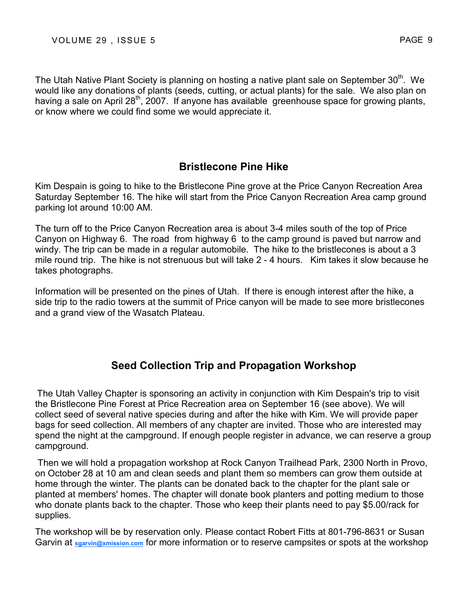The Utah Native Plant Society is planning on hosting a native plant sale on September 30<sup>th</sup>. We would like any donations of plants (seeds, cutting, or actual plants) for the sale. We also plan on having a sale on April 28<sup>th</sup>, 2007. If anyone has available greenhouse space for growing plants, or know where we could find some we would appreciate it.

## **Bristlecone Pine Hike**

Kim Despain is going to hike to the Bristlecone Pine grove at the Price Canyon Recreation Area Saturday September 16. The hike will start from the Price Canyon Recreation Area camp ground parking lot around 10:00 AM.

The turn off to the Price Canyon Recreation area is about 3-4 miles south of the top of Price Canyon on Highway 6. The road from highway 6 to the camp ground is paved but narrow and windy. The trip can be made in a regular automobile. The hike to the bristlecones is about a 3 mile round trip. The hike is not strenuous but will take 2 - 4 hours. Kim takes it slow because he takes photographs.

Information will be presented on the pines of Utah. If there is enough interest after the hike, a side trip to the radio towers at the summit of Price canyon will be made to see more bristlecones and a grand view of the Wasatch Plateau.

## **Seed Collection Trip and Propagation Workshop**

The Utah Valley Chapter is sponsoring an activity in conjunction with Kim Despain's trip to visit the Bristlecone Pine Forest at Price Recreation area on September 16 (see above). We will collect seed of several native species during and after the hike with Kim. We will provide paper bags for seed collection. All members of any chapter are invited. Those who are interested may spend the night at the campground. If enough people register in advance, we can reserve a group campground.

 Then we will hold a propagation workshop at Rock Canyon Trailhead Park, 2300 North in Provo, on October 28 at 10 am and clean seeds and plant them so members can grow them outside at home through the winter. The plants can be donated back to the chapter for the plant sale or planted at members' homes. The chapter will donate book planters and potting medium to those who donate plants back to the chapter. Those who keep their plants need to pay \$5.00/rack for supplies.

The workshop will be by reservation only. Please contact Robert Fitts at 801-796-8631 or Susan Garvin at **sgarvin@xmission.com** for more information or to reserve campsites or spots at the workshop